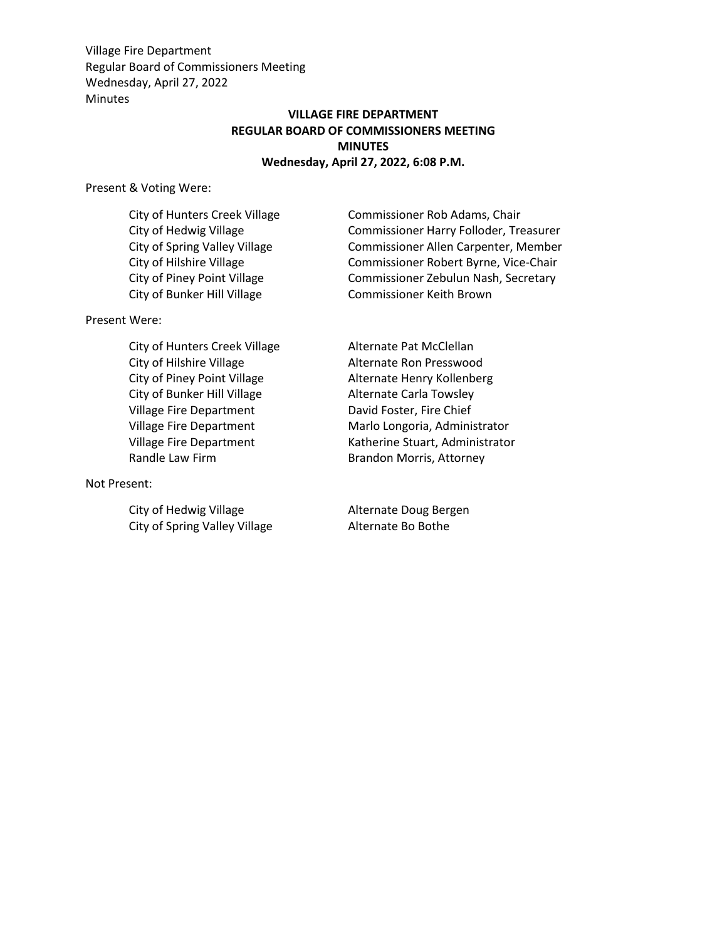## **VILLAGE FIRE DEPARTMENT REGULAR BOARD OF COMMISSIONERS MEETING MINUTES Wednesday, April 27, 2022, 6:08 P.M.**

Present & Voting Were:

City of Bunker Hill Village Commissioner Keith Brown

Present Were:

City of Hunters Creek Village Alternate Pat McClellan City of Hilshire Village Alternate Ron Presswood City of Piney Point Village **Alternate Henry Kollenberg** City of Bunker Hill Village Alternate Carla Towsley Village Fire Department Village Fire Department Village Fire Department Randle Law Firm **Brandon Morris**, Attorney

Not Present:

City of Hedwig Village Alternate Doug Bergen City of Spring Valley Village Alternate Bo Bothe

City of Hunters Creek Village Commissioner Rob Adams, Chair City of Hedwig Village Commissioner Harry Folloder, Treasurer City of Spring Valley Village Commissioner Allen Carpenter, Member City of Hilshire Village Commissioner Robert Byrne, Vice-Chair City of Piney Point Village Commissioner Zebulun Nash, Secretary

> David Foster, Fire Chief Marlo Longoria, Administrator Katherine Stuart, Administrator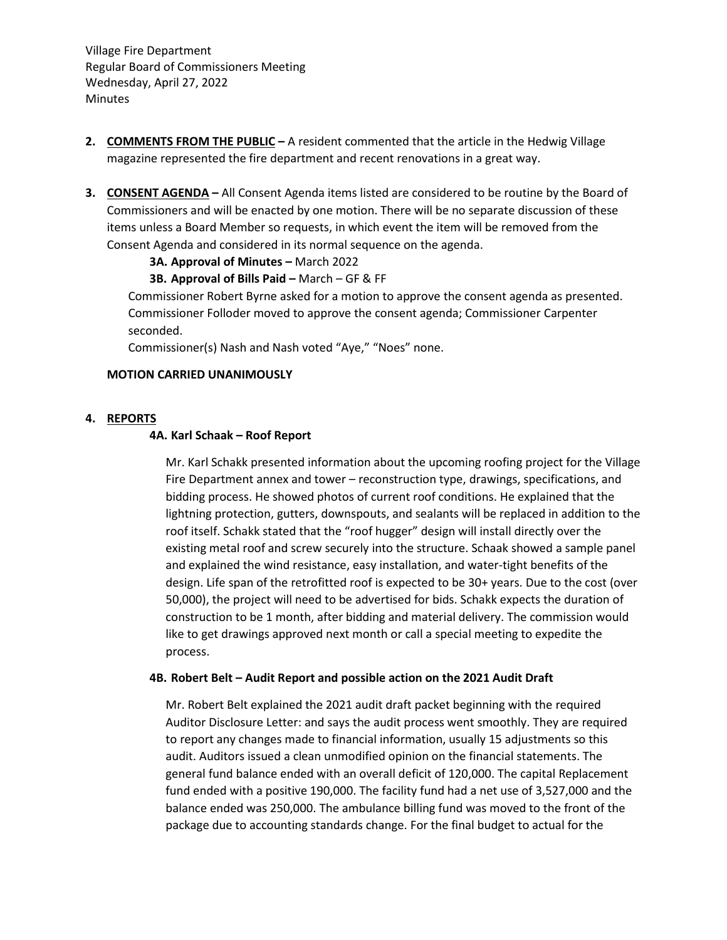- **2. COMMENTS FROM THE PUBLIC –** A resident commented that the article in the Hedwig Village magazine represented the fire department and recent renovations in a great way.
- **3. CONSENT AGENDA –** All Consent Agenda items listed are considered to be routine by the Board of Commissioners and will be enacted by one motion. There will be no separate discussion of these items unless a Board Member so requests, in which event the item will be removed from the Consent Agenda and considered in its normal sequence on the agenda.

**3A. Approval of Minutes - March 2022** 

## **3B. Approval of Bills Paid –** March – GF & FF

Commissioner Robert Byrne asked for a motion to approve the consent agenda as presented. Commissioner Folloder moved to approve the consent agenda; Commissioner Carpenter seconded.

Commissioner(s) Nash and Nash voted "Aye," "Noes" none.

## **MOTION CARRIED UNANIMOUSLY**

### **4. REPORTS**

### **4A. Karl Schaak – Roof Report**

Mr. Karl Schakk presented information about the upcoming roofing project for the Village Fire Department annex and tower – reconstruction type, drawings, specifications, and bidding process. He showed photos of current roof conditions. He explained that the lightning protection, gutters, downspouts, and sealants will be replaced in addition to the roof itself. Schakk stated that the "roof hugger" design will install directly over the existing metal roof and screw securely into the structure. Schaak showed a sample panel and explained the wind resistance, easy installation, and water-tight benefits of the design. Life span of the retrofitted roof is expected to be 30+ years. Due to the cost (over 50,000), the project will need to be advertised for bids. Schakk expects the duration of construction to be 1 month, after bidding and material delivery. The commission would like to get drawings approved next month or call a special meeting to expedite the process.

#### **4B. Robert Belt – Audit Report and possible action on the 2021 Audit Draft**

Mr. Robert Belt explained the 2021 audit draft packet beginning with the required Auditor Disclosure Letter: and says the audit process went smoothly. They are required to report any changes made to financial information, usually 15 adjustments so this audit. Auditors issued a clean unmodified opinion on the financial statements. The general fund balance ended with an overall deficit of 120,000. The capital Replacement fund ended with a positive 190,000. The facility fund had a net use of 3,527,000 and the balance ended was 250,000. The ambulance billing fund was moved to the front of the package due to accounting standards change. For the final budget to actual for the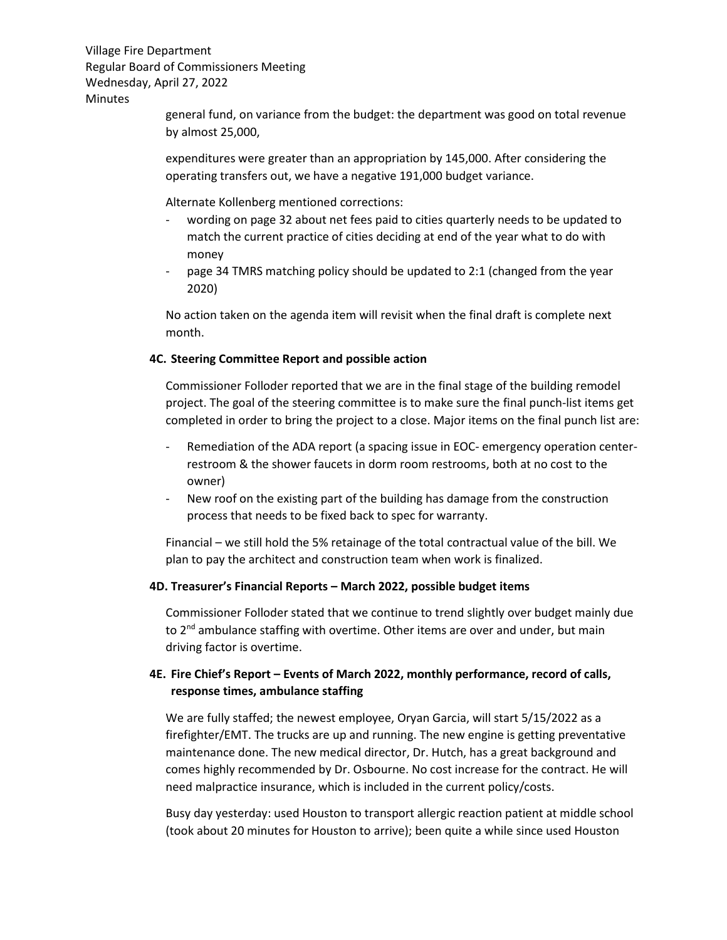> general fund, on variance from the budget: the department was good on total revenue by almost 25,000,

expenditures were greater than an appropriation by 145,000. After considering the operating transfers out, we have a negative 191,000 budget variance.

Alternate Kollenberg mentioned corrections:

- wording on page 32 about net fees paid to cities quarterly needs to be updated to match the current practice of cities deciding at end of the year what to do with money
- page 34 TMRS matching policy should be updated to 2:1 (changed from the year 2020)

No action taken on the agenda item will revisit when the final draft is complete next month.

### **4C. Steering Committee Report and possible action**

Commissioner Folloder reported that we are in the final stage of the building remodel project. The goal of the steering committee is to make sure the final punch-list items get completed in order to bring the project to a close. Major items on the final punch list are:

- Remediation of the ADA report (a spacing issue in EOC- emergency operation centerrestroom & the shower faucets in dorm room restrooms, both at no cost to the owner)
- New roof on the existing part of the building has damage from the construction process that needs to be fixed back to spec for warranty.

Financial – we still hold the 5% retainage of the total contractual value of the bill. We plan to pay the architect and construction team when work is finalized.

#### **4D. Treasurer's Financial Reports – March 2022, possible budget items**

Commissioner Folloder stated that we continue to trend slightly over budget mainly due to 2<sup>nd</sup> ambulance staffing with overtime. Other items are over and under, but main driving factor is overtime.

# **4E. Fire Chief's Report – Events of March 2022, monthly performance, record of calls, response times, ambulance staffing**

We are fully staffed; the newest employee, Oryan Garcia, will start 5/15/2022 as a firefighter/EMT. The trucks are up and running. The new engine is getting preventative maintenance done. The new medical director, Dr. Hutch, has a great background and comes highly recommended by Dr. Osbourne. No cost increase for the contract. He will need malpractice insurance, which is included in the current policy/costs.

Busy day yesterday: used Houston to transport allergic reaction patient at middle school (took about 20 minutes for Houston to arrive); been quite a while since used Houston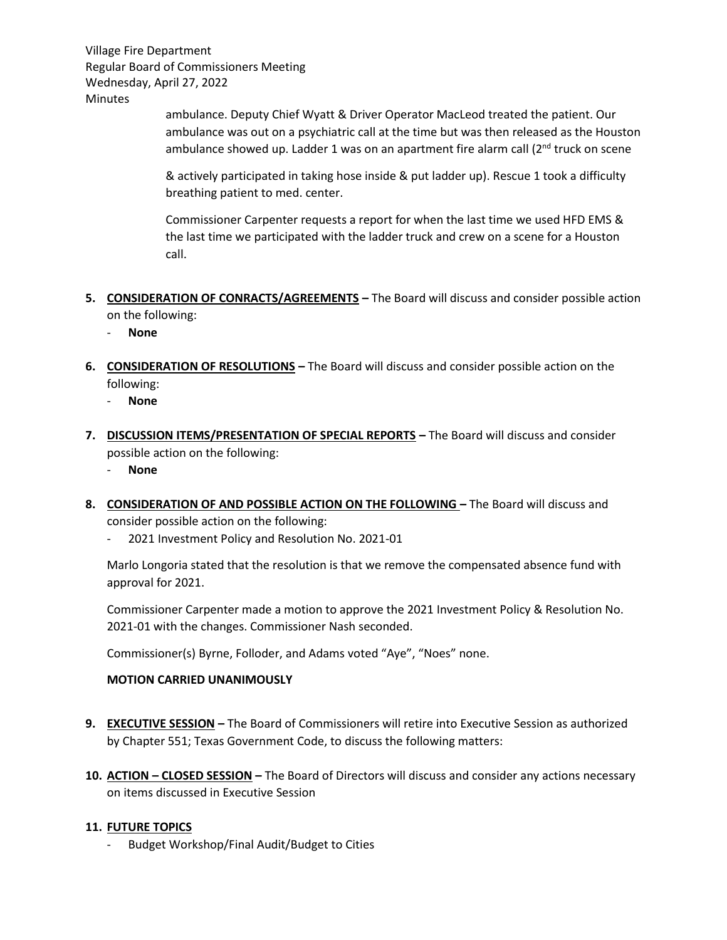> ambulance. Deputy Chief Wyatt & Driver Operator MacLeod treated the patient. Our ambulance was out on a psychiatric call at the time but was then released as the Houston ambulance showed up. Ladder 1 was on an apartment fire alarm call  $(2^{nd}$  truck on scene

& actively participated in taking hose inside & put ladder up). Rescue 1 took a difficulty breathing patient to med. center.

Commissioner Carpenter requests a report for when the last time we used HFD EMS & the last time we participated with the ladder truck and crew on a scene for a Houston call.

- **5. CONSIDERATION OF CONRACTS/AGREEMENTS –** The Board will discuss and consider possible action on the following:
	- **None**
- **6. CONSIDERATION OF RESOLUTIONS –** The Board will discuss and consider possible action on the following:
	- **None**
- **7. DISCUSSION ITEMS/PRESENTATION OF SPECIAL REPORTS –** The Board will discuss and consider possible action on the following:
	- **None**
- **8. CONSIDERATION OF AND POSSIBLE ACTION ON THE FOLLOWING –** The Board will discuss and consider possible action on the following:
	- 2021 Investment Policy and Resolution No. 2021-01

Marlo Longoria stated that the resolution is that we remove the compensated absence fund with approval for 2021.

Commissioner Carpenter made a motion to approve the 2021 Investment Policy & Resolution No. 2021-01 with the changes. Commissioner Nash seconded.

Commissioner(s) Byrne, Folloder, and Adams voted "Aye", "Noes" none.

# **MOTION CARRIED UNANIMOUSLY**

- **9. EXECUTIVE SESSION –** The Board of Commissioners will retire into Executive Session as authorized by Chapter 551; Texas Government Code, to discuss the following matters:
- **10. ACTION – CLOSED SESSION –** The Board of Directors will discuss and consider any actions necessary on items discussed in Executive Session

# **11. FUTURE TOPICS**

- Budget Workshop/Final Audit/Budget to Cities